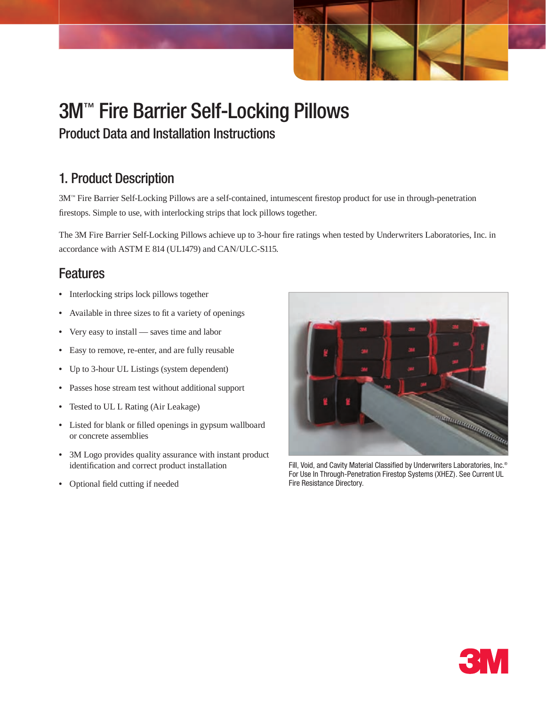# 3M™ Fire Barrier Self-Locking Pillows

Product Data and Installation Instructions

# 1. Product Description

3M™ Fire Barrier Self-Locking Pillows are a self-contained, intumescent firestop product for use in through-penetration firestops. Simple to use, with interlocking strips that lock pillows together.

The 3M Fire Barrier Self-Locking Pillows achieve up to 3-hour fire ratings when tested by Underwriters Laboratories, Inc. in accordance with ASTM E 814 (UL1479) and CAN/ULC-S115.

### Features

- Interlocking strips lock pillows together
- • Available in three sizes to fit a variety of openings
- Very easy to install saves time and labor
- • Easy to remove, re-enter, and are fully reusable
- • Up to 3-hour UL Listings (system dependent)
- • Passes hose stream test without additional support
- • Tested to UL L Rating (Air Leakage)
- • Listed for blank or filled openings in gypsum wallboard or concrete assemblies
- • 3M Logo provides quality assurance with instant product identification and correct product installation
- • Optional field cutting if needed



Fill, Void, and Cavity Material Classified by Underwriters Laboratories, Inc.<sup>®</sup> For Use In Through-Penetration Firestop Systems (XHEZ). See Current UL Fire Resistance Directory.

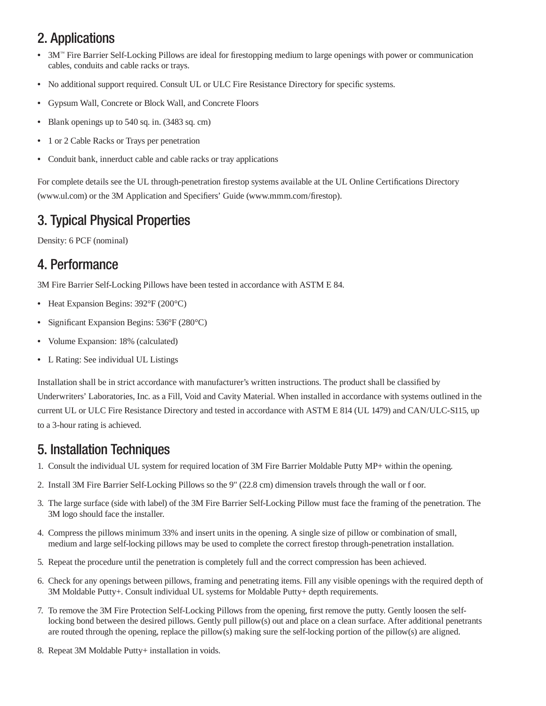# 2. Applications

- 3M™ Fire Barrier Self-Locking Pillows are ideal for firestopping medium to large openings with power or communication cables, conduits and cable racks or trays.
- • No additional support required. Consult UL or ULC Fire Resistance Directory for specific systems.
- Gypsum Wall, Concrete or Block Wall, and Concrete Floors
- Blank openings up to 540 sq. in. (3483 sq. cm)
- • 1 or 2 Cable Racks or Trays per penetration
- Conduit bank, innerduct cable and cable racks or tray applications

For complete details see the UL through-penetration firestop systems available at the UL Online Certifications Directory (www.ul.com) or the 3M Application and Specifiers' Guide (www.mmm.com/firestop).

# 3. Typical Physical Properties

Density: 6 PCF (nominal)

### 4. Performance

3M Fire Barrier Self-Locking Pillows have been tested in accordance with ASTM E 84.

- Heat Expansion Begins: 392°F (200°C)
- Significant Expansion Begins: 536°F (280°C)
- • Volume Expansion: 18% (calculated)
- L Rating: See individual UL Listings

Installation shall be in strict accordance with manufacturer's written instructions. The product shall be classified by Underwriters' Laboratories, Inc. as a Fill, Void and Cavity Material. When installed in accordance with systems outlined in the current UL or ULC Fire Resistance Directory and tested in accordance with ASTM E 814 (UL 1479) and CAN/ULC-S115, up to a 3-hour rating is achieved.

### 5. Installation Techniques

- 1. Consult the individual UL system for required location of 3M Fire Barrier Moldable Putty MP+ within the opening.
- 2. Install 3M Fire Barrier Self-Locking Pillows so the 9" (22.8 cm) dimension travels through the wall or f oor.
- 3. The large surface (side with label) of the 3M Fire Barrier Self-Locking Pillow must face the framing of the penetration. The 3M logo should face the installer.
- 4. Compress the pillows minimum 33% and insert units in the opening. A single size of pillow or combination of small, medium and large self-locking pillows may be used to complete the correct firestop through-penetration installation.
- 5. Repeat the procedure until the penetration is completely full and the correct compression has been achieved.
- 6. Check for any openings between pillows, framing and penetrating items. Fill any visible openings with the required depth of 3M Moldable Putty+. Consult individual UL systems for Moldable Putty+ depth requirements.
- 7. To remove the 3M Fire Protection Self-Locking Pillows from the opening, first remove the putty. Gently loosen the selflocking bond between the desired pillows. Gently pull pillow(s) out and place on a clean surface. After additional penetrants are routed through the opening, replace the pillow(s) making sure the self-locking portion of the pillow(s) are aligned.
- 8. Repeat 3M Moldable Putty+ installation in voids.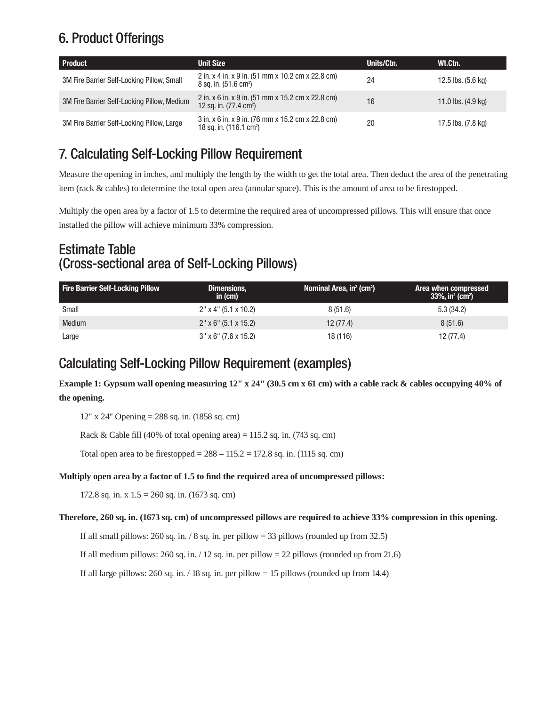# 6. Product Offerings

| Product                                     | <b>Unit Size</b>                                                                       | Units/Ctn. | Wt.Ctn.                      |
|---------------------------------------------|----------------------------------------------------------------------------------------|------------|------------------------------|
| 3M Fire Barrier Self-Locking Pillow, Small  | 2 in. x 4 in. x 9 in. (51 mm x 10.2 cm x 22.8 cm)<br>8 sq. in. (51.6 cm <sup>2</sup> ) | 24         | 12.5 lbs. (5.6 kg)           |
| 3M Fire Barrier Self-Locking Pillow, Medium | 2 in. x 6 in. x 9 in. (51 mm x 15.2 cm x 22.8 cm)<br>12 sq. in. $(77.4 \text{ cm}^2)$  | 16         | 11.0 lbs. $(4.9 \text{ kg})$ |
| 3M Fire Barrier Self-Locking Pillow, Large  | 3 in. x 6 in. x 9 in. (76 mm x 15.2 cm x 22.8 cm)<br>18 sq. in. $(116.1 \text{ cm}^2)$ | 20         | 17.5 lbs. (7.8 kg)           |

# 7. Calculating Self-Locking Pillow Requirement

Measure the opening in inches, and multiply the length by the width to get the total area. Then deduct the area of the penetrating item (rack & cables) to determine the total open area (annular space). This is the amount of area to be firestopped.

Multiply the open area by a factor of 1.5 to determine the required area of uncompressed pillows. This will ensure that once installed the pillow will achieve minimum 33% compression.

### Estimate Table (Cross-sectional area of Self-Locking Pillows)

| <b>Fire Barrier Self-Locking Pillow</b> | Dimensions,<br>in $(cm)$ | Nominal Area, $in2$ (cm <sup>2</sup> ) | Area when compressed<br>$33\%$ , in <sup>2</sup> (cm <sup>2</sup> ) |
|-----------------------------------------|--------------------------|----------------------------------------|---------------------------------------------------------------------|
| Small                                   | 2" x 4" (5.1 x 10.2)     | 8(51.6)                                | 5.3(34.2)                                                           |
| <b>Medium</b>                           | $2''$ x 6" (5.1 x 15.2)  | 12(77.4)                               | 8(51.6)                                                             |
| Large                                   | $3''$ x 6" (7.6 x 15.2)  | 18 (116)                               | 12 (77.4)                                                           |

### Calculating Self-Locking Pillow Requirement (examples)

**Example 1: Gypsum wall opening measuring 12" x 24" (30.5 cm x 61 cm) with a cable rack & cables occupying 40% of the opening.**

12" x 24" Opening = 288 sq. in. (1858 sq. cm)

Rack & Cable fill (40% of total opening area) = 115.2 sq. in. (743 sq. cm)

Total open area to be firestopped =  $288 - 115.2 = 172.8$  sq. in. (1115 sq. cm)

#### **Multiply open area by a factor of 1.5 to find the required area of uncompressed pillows:**

172.8 sq. in. x  $1.5 = 260$  sq. in. (1673 sq. cm)

#### **Therefore, 260 sq. in. (1673 sq. cm) of uncompressed pillows are required to achieve 33% compression in this opening.**

If all small pillows: 260 sq. in.  $/ 8$  sq. in. per pillow = 33 pillows (rounded up from 32.5)

If all medium pillows: 260 sq. in.  $/ 12$  sq. in. per pillow = 22 pillows (rounded up from 21.6)

If all large pillows: 260 sq. in.  $/ 18$  sq. in. per pillow = 15 pillows (rounded up from 14.4)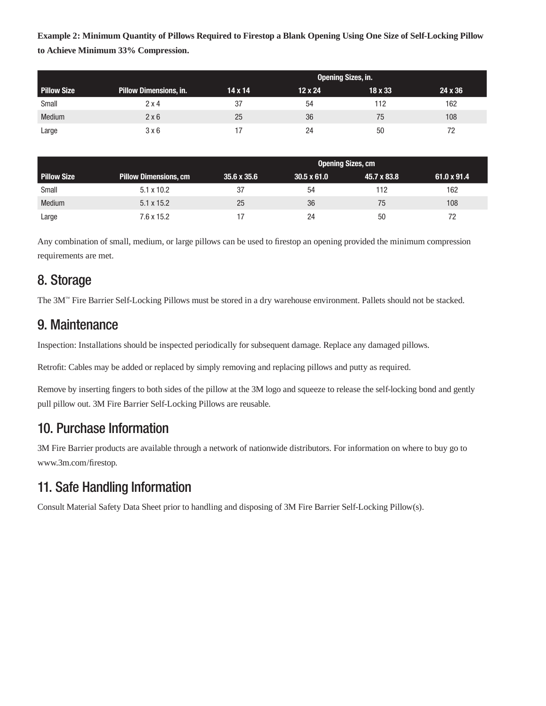**Example 2: Minimum Quantity of Pillows Required to Firestop a Blank Opening Using One Size of Self-Locking Pillow to Achieve Minimum 33% Compression.**

|                    |                               | <b>Opening Sizes, in.</b> |                |         |         |
|--------------------|-------------------------------|---------------------------|----------------|---------|---------|
| <b>Pillow Size</b> | <b>Pillow Dimensions, in.</b> | $14 \times 14$            | $12 \times 24$ | 18 x 33 | 24 x 36 |
| Small              | $2 \times 4$                  | 37                        | 54             | 112     | 162     |
| <b>Medium</b>      | 2x6                           | 25                        | 36             | 75      | 108     |
| Large              | 3x6                           |                           | 24             | 50      |         |

|                    |                              | <b>Opening Sizes, cm</b> |                    |             |                    |
|--------------------|------------------------------|--------------------------|--------------------|-------------|--------------------|
| <b>Pillow Size</b> | <b>Pillow Dimensions, cm</b> | $35.6 \times 35.6$       | $30.5 \times 61.0$ | 45.7 x 83.8 | $61.0 \times 91.4$ |
| Small              | $5.1 \times 10.2$            | 37                       | 54                 | 112         | 162                |
| <b>Medium</b>      | $5.1 \times 15.2$            | 25                       | 36                 | 75          | 108                |
| Large              | 7.6 x 15.2                   |                          | 24                 | 50          |                    |

Any combination of small, medium, or large pillows can be used to firestop an opening provided the minimum compression requirements are met.

### 8. Storage

The 3M™ Fire Barrier Self-Locking Pillows must be stored in a dry warehouse environment. Pallets should not be stacked.

# 9. Maintenance

Inspection: Installations should be inspected periodically for subsequent damage. Replace any damaged pillows.

Retrofit: Cables may be added or replaced by simply removing and replacing pillows and putty as required.

Remove by inserting fingers to both sides of the pillow at the 3M logo and squeeze to release the self-locking bond and gently pull pillow out. 3M Fire Barrier Self-Locking Pillows are reusable.

### 10. Purchase Information

3M Fire Barrier products are available through a network of nationwide distributors. For information on where to buy go to www.3m.com/firestop.

# 11. Safe Handling Information

Consult Material Safety Data Sheet prior to handling and disposing of 3M Fire Barrier Self-Locking Pillow(s).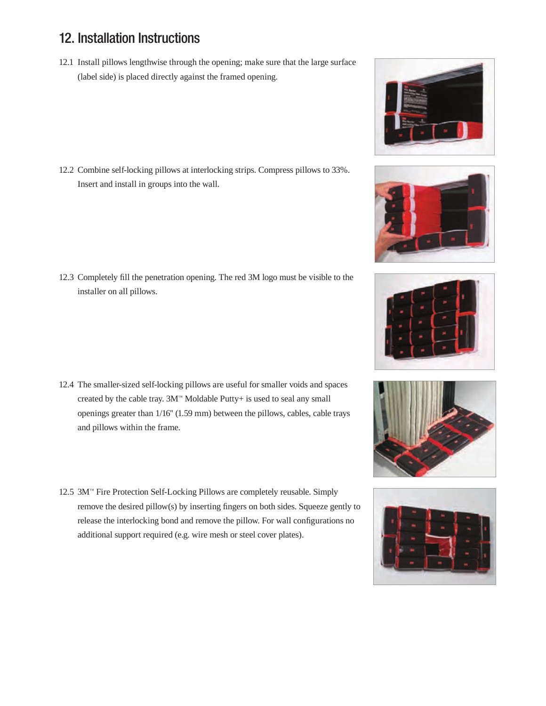## 12. Installation Instructions

12.1 Install pillows lengthwise through the opening; make sure that the large surface (label side) is placed directly against the framed opening.

12.2 Combine self-locking pillows at interlocking strips. Compress pillows to 33%. Insert and install in groups into the wall.

12.3 Completely fill the penetration opening. The red 3M logo must be visible to the installer on all pillows.

- 12.4 The smaller-sized self-locking pillows are useful for smaller voids and spaces created by the cable tray. 3M™ Moldable Putty+ is used to seal any small openings greater than 1/16'' (1.59 mm) between the pillows, cables, cable trays and pillows within the frame.
- 12.5 3M™ Fire Protection Self-Locking Pillows are completely reusable. Simply remove the desired pillow(s) by inserting fingers on both sides. Squeeze gently to release the interlocking bond and remove the pillow. For wall configurations no additional support required (e.g. wire mesh or steel cover plates).